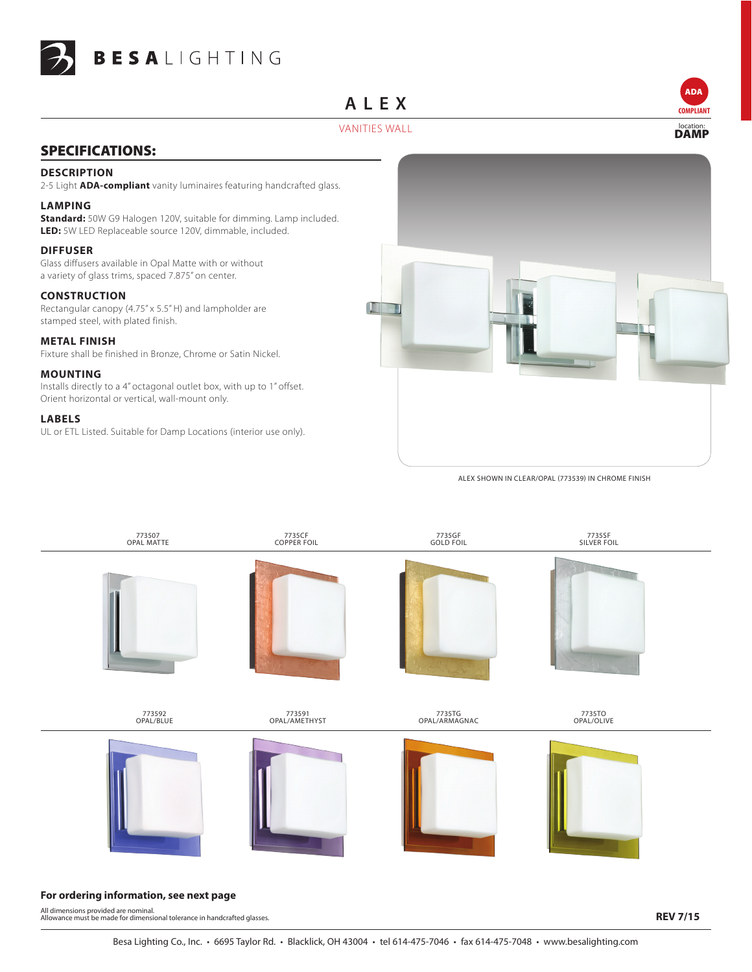

## **Alex**



ADA

## VANITIES WALL LOCATION: LOCATION: LOCATION: LOCATION: LOCATION: LOCATION: LOCATION: LOCATION: LOCATION: LOCATION: LOCATION: LOCATION: LOCATION: LOCATION: LOCATION: LOCATION: LOCATION: LOCATION: LOCATION: LOCATION: LOCATION

## SPECIFICATIONS:

#### **DESCRIPTION**

2-5 Light **ADA-compliant** vanity luminaires featuring handcrafted glass.

#### **LAMPING**

**Standard:** 50W G9 Halogen 120V, suitable for dimming. Lamp included. **LED:** 5W LED Replaceable source 120V, dimmable, included.

#### **DIFFUSER**

Glass diffusers available in Opal Matte with or without a variety of glass trims, spaced 7.875" on center.

#### **CONSTRUCTION**

Rectangular canopy (4.75" x 5.5" H) and lampholder are stamped steel, with plated finish.

#### **METAL FINISH**

Fixture shall be finished in Bronze, Chrome or Satin Nickel.

#### **MOUNTING**

Installs directly to a 4" octagonal outlet box, with up to 1" offset. Orient horizontal or vertical, wall-mount only.

#### **LABELS**

UL or ETL Listed. Suitable for Damp Locations (interior use only).



Alex shown in clear/opal (773539) in chrome finish



#### **For ordering information, see next page**

All dimensions provided are nominal. Allowance must be made for dimensional tolerance in handcrafted glasses.

**REV 7/15**